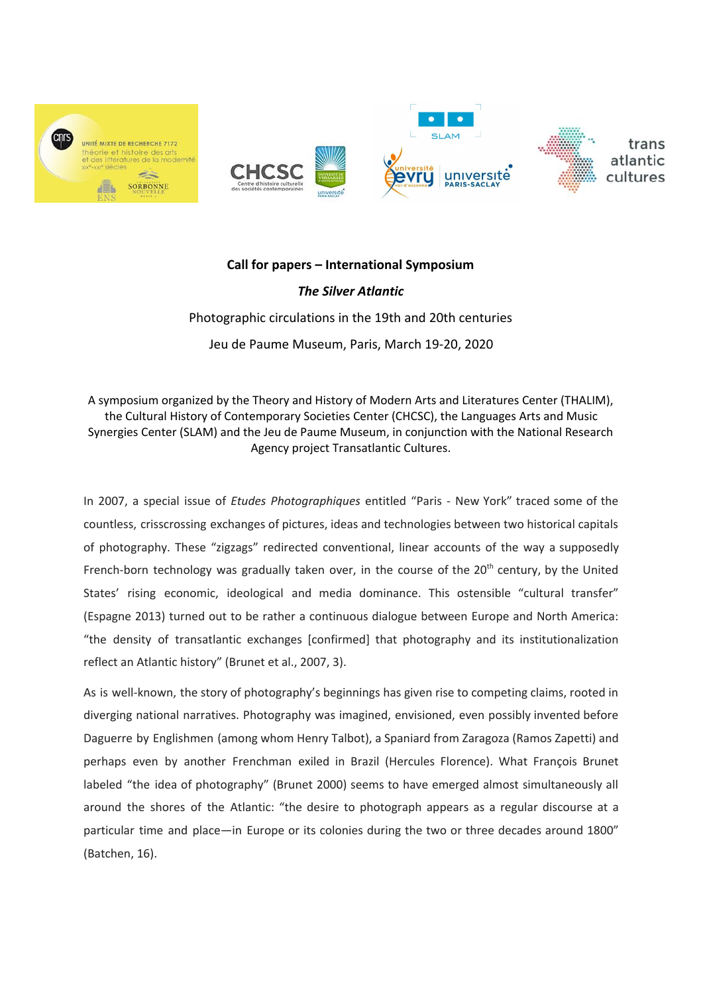

# **Call for papers – International Symposium**

*The Silver Atlantic* Photographic circulations in the 19th and 20th centuries Jeu de Paume Museum, Paris, March 19-20, 2020

A symposium organized by the Theory and History of Modern Arts and Literatures Center (THALIM), the Cultural History of Contemporary Societies Center (CHCSC), the Languages Arts and Music Synergies Center (SLAM) and the Jeu de Paume Museum, in conjunction with the National Research Agency project Transatlantic Cultures.

In 2007, a special issue of *Etudes Photographiques* entitled "Paris - New York" traced some of the countless, crisscrossing exchanges of pictures, ideas and technologies between two historical capitals of photography. These "zigzags" redirected conventional, linear accounts of the way a supposedly French-born technology was gradually taken over, in the course of the 20<sup>th</sup> century, by the United States' rising economic, ideological and media dominance. This ostensible "cultural transfer" (Espagne 2013) turned out to be rather a continuous dialogue between Europe and North America: "the density of transatlantic exchanges [confirmed] that photography and its institutionalization reflect an Atlantic history" (Brunet et al., 2007, 3).

As is well-known, the story of photography's beginnings has given rise to competing claims, rooted in diverging national narratives. Photography was imagined, envisioned, even possibly invented before Daguerre by Englishmen (among whom Henry Talbot), a Spaniard from Zaragoza (Ramos Zapetti) and perhaps even by another Frenchman exiled in Brazil (Hercules Florence). What François Brunet labeled "the idea of photography" (Brunet 2000) seems to have emerged almost simultaneously all around the shores of the Atlantic: "the desire to photograph appears as a regular discourse at a particular time and place—in Europe or its colonies during the two or three decades around 1800" (Batchen, 16).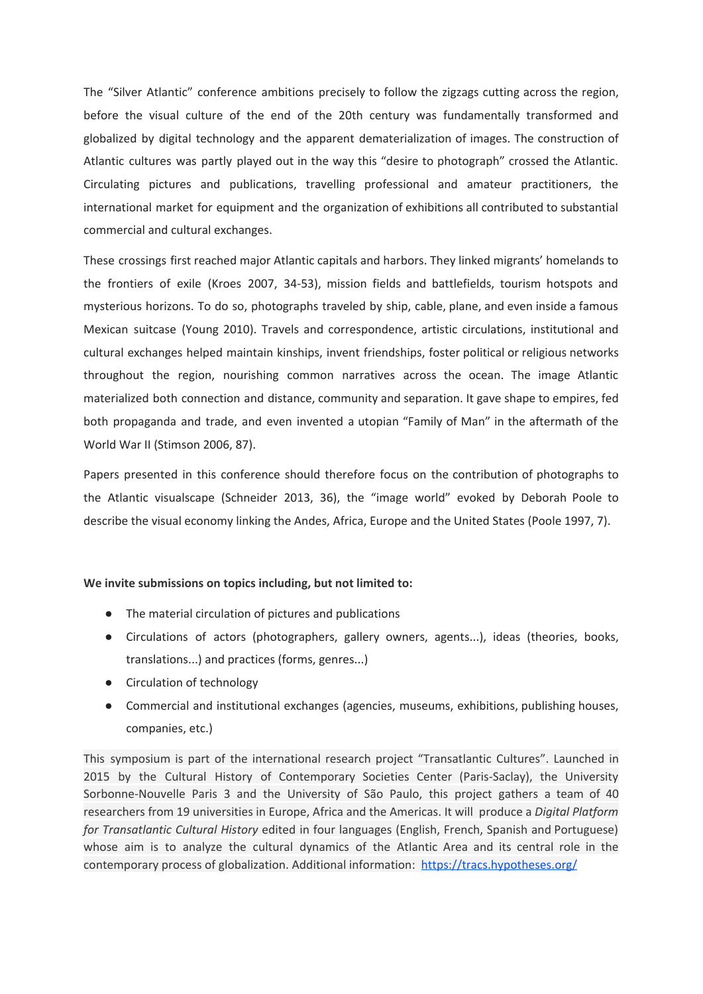The "Silver Atlantic" conference ambitions precisely to follow the zigzags cutting across the region, before the visual culture of the end of the 20th century was fundamentally transformed and globalized by digital technology and the apparent dematerialization of images. The construction of Atlantic cultures was partly played out in the way this "desire to photograph" crossed the Atlantic. Circulating pictures and publications, travelling professional and amateur practitioners, the international market for equipment and the organization of exhibitions all contributed to substantial commercial and cultural exchanges.

These crossings first reached major Atlantic capitals and harbors. They linked migrants' homelands to the frontiers of exile (Kroes 2007, 34-53), mission fields and battlefields, tourism hotspots and mysterious horizons. To do so, photographs traveled by ship, cable, plane, and even inside a famous Mexican suitcase (Young 2010). Travels and correspondence, artistic circulations, institutional and cultural exchanges helped maintain kinships, invent friendships, foster political or religious networks throughout the region, nourishing common narratives across the ocean. The image Atlantic materialized both connection and distance, community and separation. It gave shape to empires, fed both propaganda and trade, and even invented a utopian "Family of Man" in the aftermath of the World War II (Stimson 2006, 87).

Papers presented in this conference should therefore focus on the contribution of photographs to the Atlantic visualscape (Schneider 2013, 36), the "image world" evoked by Deborah Poole to describe the visual economy linking the Andes, Africa, Europe and the United States (Poole 1997, 7).

# **We invite submissions on topics including, but not limited to:**

- The material circulation of pictures and publications
- Circulations of actors (photographers, gallery owners, agents...), ideas (theories, books, translations...) and practices (forms, genres...)
- Circulation of technology
- Commercial and institutional exchanges (agencies, museums, exhibitions, publishing houses, companies, etc.)

This symposium is part of the international research project "Transatlantic Cultures". Launched in 2015 by the Cultural History of Contemporary Societies Center (Paris-Saclay), the University Sorbonne-Nouvelle Paris 3 and the University of São Paulo, this project gathers a team of 40 researchers from 19 universities in Europe, Africa and the Americas. It will produce a *Digital Platform for Transatlantic Cultural History* edited in four languages (English, French, Spanish and Portuguese) whose aim is to analyze the cultural dynamics of the Atlantic Area and its central role in the contemporary process of globalization. Additional information: <https://tracs.hypotheses.org/>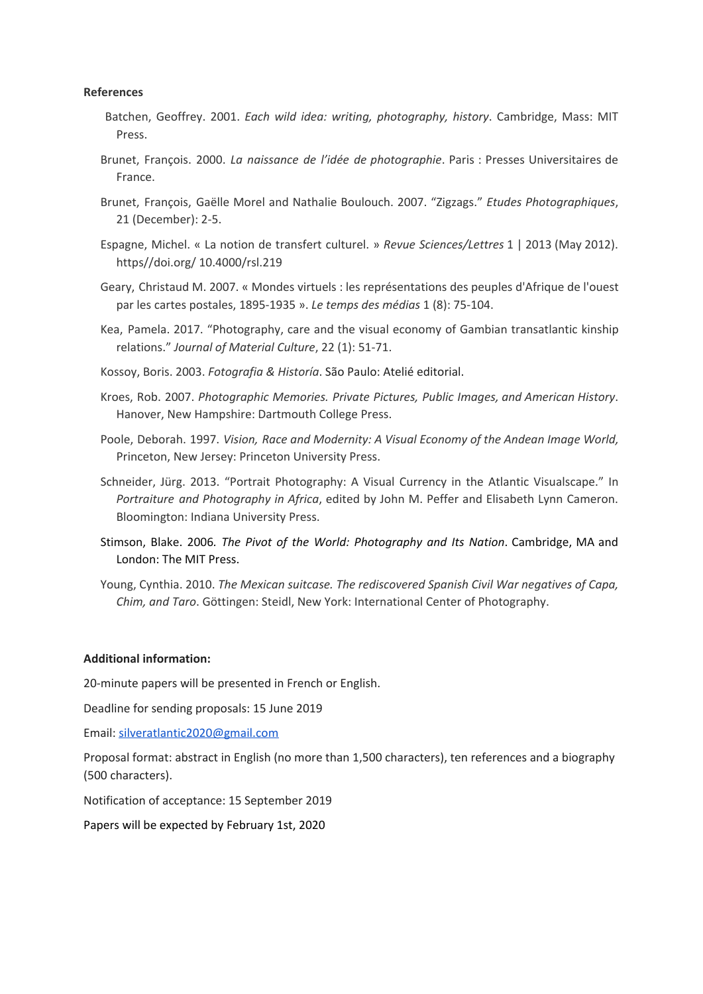# **References**

- Batchen, Geoffrey. 2001. *Each wild idea: writing, photography, history*. Cambridge, Mass: MIT Press.
- Brunet, François. 2000. *La naissance de l'idée de photographie*. Paris : Presses Universitaires de France.
- Brunet, François, Gaëlle Morel and Nathalie Boulouch. 2007. "Zigzags." *Etudes Photographiques*, 21 (December): 2-5.
- Espagne, Michel. « La notion de transfert culturel. » *Revue Sciences/Lettres* 1 | 2013 (May 2012). https//doi.org/ 10.4000/rsl.219
- Geary, Christaud M. 2007. « Mondes virtuels : les représentations des peuples d'Afrique de l'ouest par les cartes postales, 1895-1935 ». *Le temps des médias* 1 (8): 75-104.
- Kea, Pamela. 2017. "Photography, care and the visual economy of Gambian transatlantic kinship relations." *Journal of Material Culture*, 22 (1): 51-71.
- Kossoy, Boris. 2003. *Fotografia & Historía*. São Paulo: Atelié editorial.
- Kroes, Rob. 2007. *Photographic Memories. Private Pictures, Public Images, and American History*. Hanover, New Hampshire: Dartmouth College Press.
- Poole, Deborah. 1997. *Vision, Race and Modernity: A Visual Economy of the Andean Image World,* Princeton, New Jersey: Princeton University Press.
- Schneider, Jürg. 2013. "Portrait Photography: A Visual Currency in the Atlantic Visualscape." In *Portraiture and Photography in Africa*, edited by John M. Peffer and Elisabeth Lynn Cameron. Bloomington: Indiana University Press.
- Stimson, Blake. 2006*. The Pivot of the World: Photography and Its Nation*. Cambridge, MA and London: The MIT Press.
- Young, Cynthia. 2010. *The Mexican suitcase. The rediscovered Spanish Civil War negatives of Capa, Chim, and Taro*. Göttingen: Steidl, New York: International Center of Photography.

#### **Additional information:**

20-minute papers will be presented in French or English.

Deadline for sending proposals: 15 June 2019

Email: [silveratlantic2020@gmail.com](mailto:silveratlantic@gmail.com)

Proposal format: abstract in English (no more than 1,500 characters), ten references and a biography (500 characters).

Notification of acceptance: 15 September 2019

Papers will be expected by February 1st, 2020